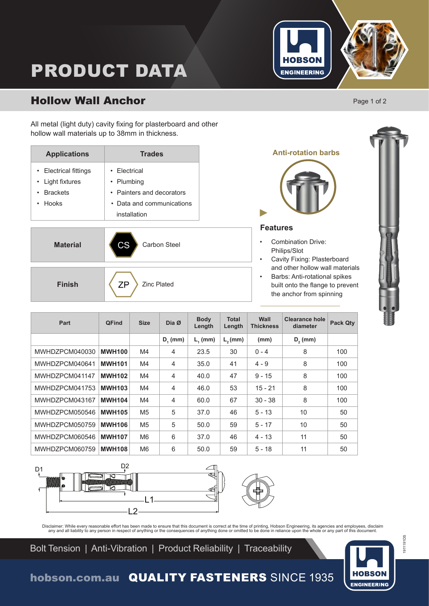

# PRODUCT DATA

# Hollow Wall Anchor

All metal (light duty) cavity fixing for plasterboard and other hollow wall materials up to 38mm in thickness.

| <b>Applications</b>   | <b>Trades</b>             |  |  |  |
|-----------------------|---------------------------|--|--|--|
| • Electrical fittings | $\cdot$ Flectrical        |  |  |  |
| • Light fixtures      | • Plumbing                |  |  |  |
| • Brackets            | • Painters and decorators |  |  |  |
| $\cdot$ Hooks         | • Data and communications |  |  |  |
|                       | installation              |  |  |  |

**Material CS** Carbon Steel

**Finish**  $\langle ZP \rangle$  Zinc Plated

**Anti-rotation barbs Features**

- Combination Drive: Philips/Slot
- Cavity Fixing: Plasterboard and other hollow wall materials
- Barbs: Anti-rotational spikes built onto the flange to prevent the anchor from spinning

| Part           | <b>QFind</b>  | <b>Size</b>    | Dia $\emptyset$ | <b>Body</b><br>Length | <b>Total</b><br>Length | Wall<br><b>Thickness</b> | <b>Clearance hole</b><br>diameter | <b>Pack Qty</b> |
|----------------|---------------|----------------|-----------------|-----------------------|------------------------|--------------------------|-----------------------------------|-----------------|
|                |               |                | $D_{1}$ (mm)    | $L1$ (mm)             | $L2$ (mm)              | (mm)                     | $D2$ (mm)                         |                 |
| MWHDZPCM040030 | <b>MWH100</b> | M4             | $\overline{4}$  | 23.5                  | 30                     | $0 - 4$                  | 8                                 | 100             |
| MWHDZPCM040641 | <b>MWH101</b> | M4             | $\overline{4}$  | 35.0                  | 41                     | $4 - 9$                  | 8                                 | 100             |
| MWHDZPCM041147 | <b>MWH102</b> | M4             | $\overline{4}$  | 40.0                  | 47                     | $9 - 15$                 | 8                                 | 100             |
| MWHDZPCM041753 | <b>MWH103</b> | M4             | $\overline{4}$  | 46.0                  | 53                     | $15 - 21$                | 8                                 | 100             |
| MWHDZPCM043167 | <b>MWH104</b> | M4             | $\overline{4}$  | 60.0                  | 67                     | $30 - 38$                | 8                                 | 100             |
| MWHDZPCM050546 | <b>MWH105</b> | M <sub>5</sub> | 5               | 37.0                  | 46                     | $5 - 13$                 | 10                                | 50              |
| MWHDZPCM050759 | <b>MWH106</b> | M <sub>5</sub> | 5               | 50.0                  | 59                     | $5 - 17$                 | 10                                | 50              |
| MWHDZPCM060546 | <b>MWH107</b> | M <sub>6</sub> | 6               | 37.0                  | 46                     | $4 - 13$                 | 11                                | 50              |
| MWHDZPCM060759 | <b>MWH108</b> | M <sub>6</sub> | 6               | 50.0                  | 59                     | $5 - 18$                 | 11                                | 50              |



Disclaimer: While every reasonable effort has been made to ensure that this document is correct at the time of printing, Hobson Engineering, its agencies and employees, disclaim<br>any and all liability to any person in respe

Bolt Tension | Anti-Vibration | Product Reliability | Traceability



1911191DS

1911191DS

hobson.com.au QUALITY FASTENERS SINCE 1935